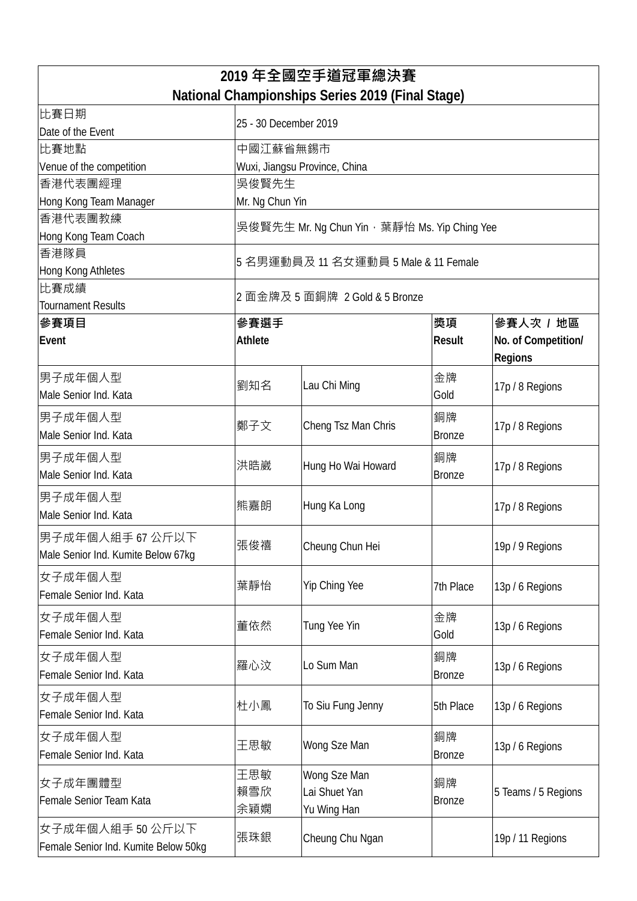| 2019 年全國空手道冠軍總決賽                                 |                                             |                               |                     |                     |  |  |  |
|--------------------------------------------------|---------------------------------------------|-------------------------------|---------------------|---------------------|--|--|--|
| National Championships Series 2019 (Final Stage) |                                             |                               |                     |                     |  |  |  |
| 比賽日期                                             | 25 - 30 December 2019                       |                               |                     |                     |  |  |  |
| Date of the Event                                |                                             |                               |                     |                     |  |  |  |
| 比賽地點                                             | 中國江蘇省無錫市                                    |                               |                     |                     |  |  |  |
| Venue of the competition                         | Wuxi, Jiangsu Province, China               |                               |                     |                     |  |  |  |
| 香港代表團經理                                          | 吳俊賢先生                                       |                               |                     |                     |  |  |  |
| Hong Kong Team Manager                           | Mr. Ng Chun Yin                             |                               |                     |                     |  |  |  |
| 香港代表團教練                                          | 吳俊賢先生 Mr. Ng Chun Yin,葉靜怡 Ms. Yip Ching Yee |                               |                     |                     |  |  |  |
| Hong Kong Team Coach                             |                                             |                               |                     |                     |  |  |  |
| 香港隊員                                             | 5 名男運動員及 11 名女運動員 5 Male & 11 Female        |                               |                     |                     |  |  |  |
| Hong Kong Athletes                               |                                             |                               |                     |                     |  |  |  |
| 比賽成績                                             | 2 面金牌及 5 面銅牌 2 Gold & 5 Bronze              |                               |                     |                     |  |  |  |
| <b>Tournament Results</b>                        |                                             |                               |                     |                     |  |  |  |
| 參賽項目                                             | 參賽選手                                        |                               | 獎項<br><b>Result</b> | 參賽人次 / 地區           |  |  |  |
| Event                                            |                                             | <b>Athlete</b>                |                     | No. of Competition/ |  |  |  |
|                                                  |                                             |                               |                     | <b>Regions</b>      |  |  |  |
| 男子成年個人型                                          | 劉知名                                         | Lau Chi Ming                  | 金牌                  | 17p / 8 Regions     |  |  |  |
| Male Senior Ind. Kata                            |                                             |                               | Gold                |                     |  |  |  |
| 男子成年個人型                                          | 鄭子文                                         | Cheng Tsz Man Chris           | 銅牌                  | 17p / 8 Regions     |  |  |  |
| Male Senior Ind. Kata                            |                                             |                               | <b>Bronze</b>       |                     |  |  |  |
| 男子成年個人型                                          |                                             | Hung Ho Wai Howard            | 銅牌                  |                     |  |  |  |
| Male Senior Ind. Kata                            | 洪晧崴                                         |                               | <b>Bronze</b>       | 17p / 8 Regions     |  |  |  |
| 男子成年個人型                                          |                                             |                               |                     |                     |  |  |  |
| Male Senior Ind. Kata                            | 熊嘉朗                                         | Hung Ka Long                  |                     | 17p / 8 Regions     |  |  |  |
|                                                  |                                             |                               |                     |                     |  |  |  |
| 男子成年個人組手 67 公斤以下                                 | 張俊禧                                         | Cheung Chun Hei               |                     | 19p / 9 Regions     |  |  |  |
| Male Senior Ind. Kumite Below 67kg               |                                             |                               |                     |                     |  |  |  |
| 女子成年個人型                                          | 葉靜怡                                         | Yip Ching Yee                 | 7th Place           | 13p / 6 Regions     |  |  |  |
| Female Senior Ind. Kata                          |                                             |                               |                     |                     |  |  |  |
| 女子成年個人型                                          | 董依然                                         | Tung Yee Yin                  | 金牌                  | 13p / 6 Regions     |  |  |  |
| Female Senior Ind. Kata                          |                                             |                               | Gold                |                     |  |  |  |
| 女子成年個人型                                          | 羅心汶                                         | Lo Sum Man                    | 銅牌                  |                     |  |  |  |
| Female Senior Ind. Kata                          |                                             |                               | <b>Bronze</b>       | 13p / 6 Regions     |  |  |  |
| 女子成年個人型                                          |                                             |                               |                     |                     |  |  |  |
| Female Senior Ind. Kata                          | 杜小鳳                                         | To Siu Fung Jenny             | 5th Place           | 13p / 6 Regions     |  |  |  |
|                                                  |                                             |                               |                     |                     |  |  |  |
| 女子成年個人型                                          | 王思敏                                         | Wong Sze Man                  | 銅牌                  | 13p / 6 Regions     |  |  |  |
| Female Senior Ind. Kata                          |                                             |                               | <b>Bronze</b>       |                     |  |  |  |
| 女子成年團體型                                          | 王思敏                                         | Wong Sze Man<br>Lai Shuet Yan | 銅牌                  | 5 Teams / 5 Regions |  |  |  |
| Female Senior Team Kata                          | 賴雪欣                                         |                               | <b>Bronze</b>       |                     |  |  |  |
|                                                  | 余穎嫻                                         | Yu Wing Han                   |                     |                     |  |  |  |
| 女子成年個人組手 50 公斤以下                                 | 張珠銀                                         | Cheung Chu Ngan               |                     | 19p / 11 Regions    |  |  |  |
| Female Senior Ind. Kumite Below 50kg             |                                             |                               |                     |                     |  |  |  |